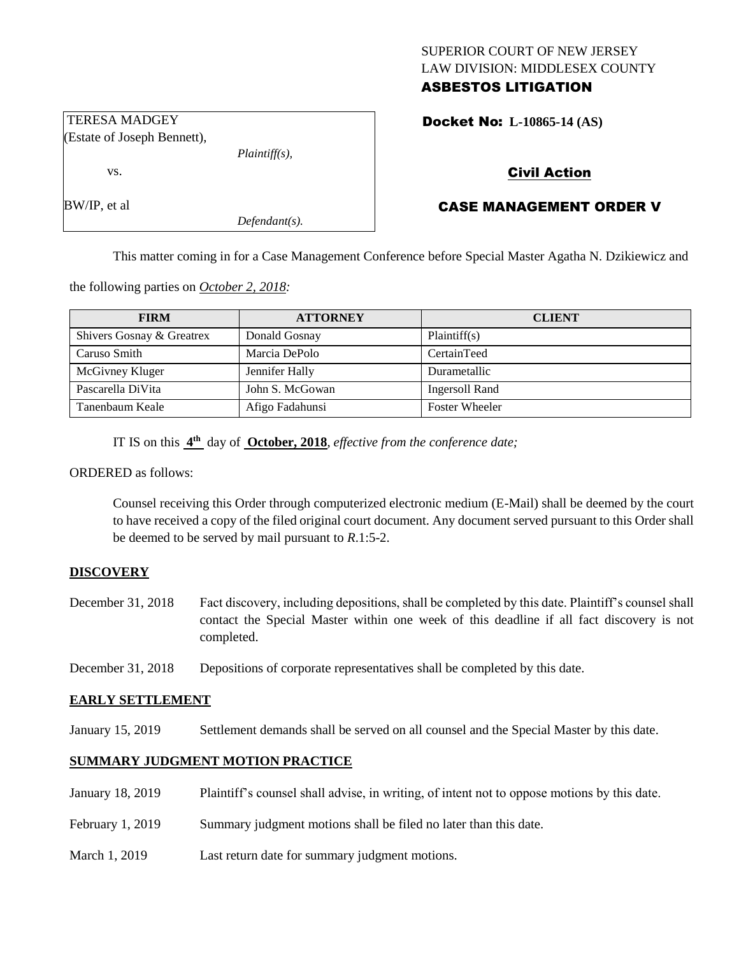# SUPERIOR COURT OF NEW JERSEY LAW DIVISION: MIDDLESEX COUNTY ASBESTOS LITIGATION

Docket No: **L-10865-14 (AS)** 

# Civil Action

# CASE MANAGEMENT ORDER V

This matter coming in for a Case Management Conference before Special Master Agatha N. Dzikiewicz and

the following parties on *October 2, 2018:*

| <b>FIRM</b>               | <b>ATTORNEY</b> | <b>CLIENT</b>         |
|---------------------------|-----------------|-----------------------|
| Shivers Gosnay & Greatrex | Donald Gosnay   | Plaintiff(s)          |
| Caruso Smith              | Marcia DePolo   | CertainTeed           |
| McGivney Kluger           | Jennifer Hally  | Durametallic          |
| Pascarella DiVita         | John S. McGowan | Ingersoll Rand        |
| Tanenbaum Keale           | Afigo Fadahunsi | <b>Foster Wheeler</b> |

IT IS on this **4 th** day of **October, 2018**, *effective from the conference date;*

*Plaintiff(s),*

*Defendant(s).*

ORDERED as follows:

Counsel receiving this Order through computerized electronic medium (E-Mail) shall be deemed by the court to have received a copy of the filed original court document. Any document served pursuant to this Order shall be deemed to be served by mail pursuant to *R*.1:5-2.

## **DISCOVERY**

- December 31, 2018 Fact discovery, including depositions, shall be completed by this date. Plaintiff's counsel shall contact the Special Master within one week of this deadline if all fact discovery is not completed.
- December 31, 2018 Depositions of corporate representatives shall be completed by this date.

## **EARLY SETTLEMENT**

January 15, 2019 Settlement demands shall be served on all counsel and the Special Master by this date.

# **SUMMARY JUDGMENT MOTION PRACTICE**

- January 18, 2019 Plaintiff's counsel shall advise, in writing, of intent not to oppose motions by this date.
- February 1, 2019 Summary judgment motions shall be filed no later than this date.
- March 1, 2019 Last return date for summary judgment motions.

TERESA MADGEY (Estate of Joseph Bennett),

vs.

BW/IP, et al